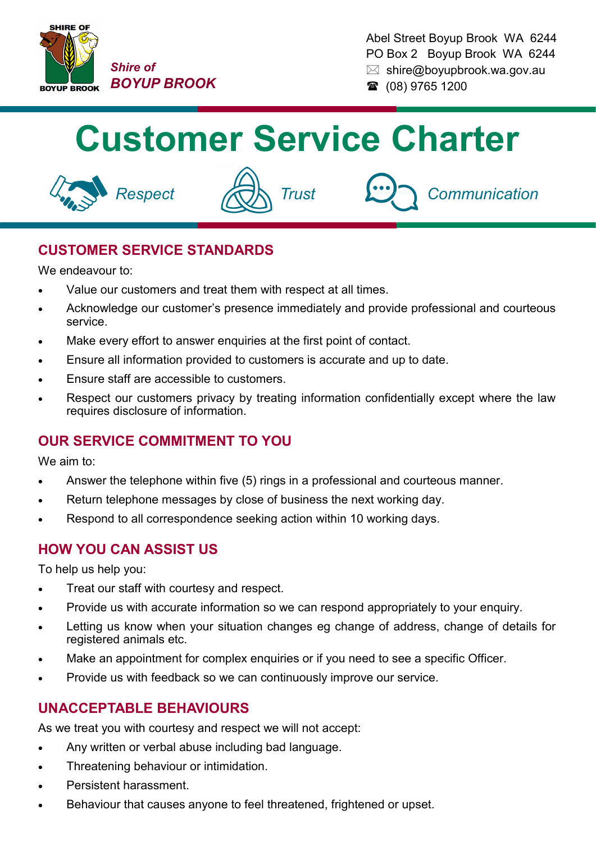

Abel Street Boyup Brook WA 6244 PO Box 2 Boyup Brook WA 6244  $\boxtimes$  shire@boyupbrook.wa.gov.au ■ (08) 9765 1200

# **Customer Service Charter**







# **CUSTOMER SERVICE STANDARDS**

We endeavour to:

- Value our customers and treat them with respect at all times.
- Acknowledge our customer's presence immediately and provide professional and courteous service.
- Make every effort to answer enquiries at the first point of contact.
- Ensure all information provided to customers is accurate and up to date.
- Ensure staff are accessible to customers.
- Respect our customers privacy by treating information confidentially except where the law requires disclosure of information.

## **OUR SERVICE COMMITMENT TO YOU**

We aim to:

- Answer the telephone within five (5) rings in a professional and courteous manner.
- Return telephone messages by close of business the next working day.
- Respond to all correspondence seeking action within 10 working days.

## **HOW YOU CAN ASSIST US**

To help us help you:

- Treat our staff with courtesy and respect.
- Provide us with accurate information so we can respond appropriately to your enquiry.
- Letting us know when your situation changes eg change of address, change of details for registered animals etc.
- Make an appointment for complex enquiries or if you need to see a specific Officer.
- Provide us with feedback so we can continuously improve our service.

#### **UNACCEPTABLE BEHAVIOURS**

As we treat you with courtesy and respect we will not accept:

- Any written or verbal abuse including bad language.
- Threatening behaviour or intimidation.
- Persistent harassment.
- Behaviour that causes anyone to feel threatened, frightened or upset.